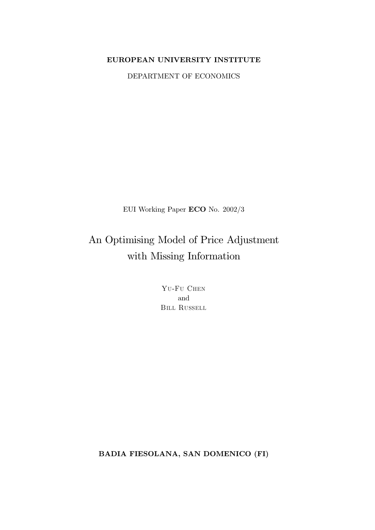## EUROPEAN UNIVERSITY INSTITUTE

DEPARTMENT OF ECONOMICS

EUI Working Paper ECO No. 2002/3

An Optimising Model of Price Adjustment with Missing Information

> YU-FU CHEN and **BILL RUSSELL**

**BADIA FIESOLANA, SAN DOMENICO (FI)**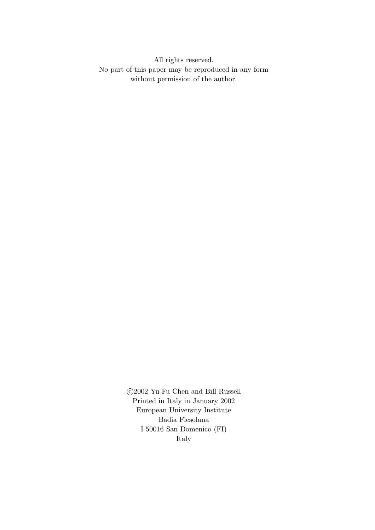All rights reserved. No part of this paper may be reproduced in any form without permission of the author.

> $\odot$ 2002 Yu-Fu Chen and Bill Russell Printed in Italy in January 2002 European University Institute Badia Fiesolana I-50016 San Domenico (FI) Italy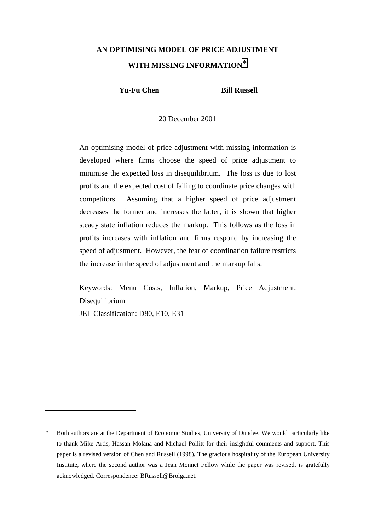# **AN OPTIMISING MODEL OF PRICE ADJUSTMENT WITH MISSING INFORMATION**\*

**Yu-Fu Chen Bill Russell** 

20 December 2001

An optimising model of price adjustment with missing information is developed where firms choose the speed of price adjustment to minimise the expected loss in disequilibrium. The loss is due to lost profits and the expected cost of failing to coordinate price changes with competitors. Assuming that a higher speed of price adjustment decreases the former and increases the latter, it is shown that higher steady state inflation reduces the markup. This follows as the loss in profits increases with inflation and firms respond by increasing the speed of adjustment. However, the fear of coordination failure restricts the increase in the speed of adjustment and the markup falls.

Keywords: Menu Costs, Inflation, Markup, Price Adjustment, Disequilibrium

JEL Classification: D80, E10, E31

<sup>\*</sup> Both authors are at the Department of Economic Studies, University of Dundee. We would particularly like to thank Mike Artis, Hassan Molana and Michael Pollitt for their insightful comments and support. This paper is a revised version of Chen and Russell (1998). The gracious hospitality of the European University Institute, where the second author was a Jean Monnet Fellow while the paper was revised, is gratefully acknowledged. Correspondence: BRussell@Brolga.net.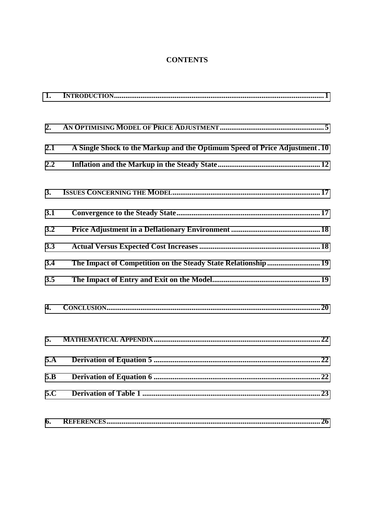## **CONTENTS**

| 1.  |                                                                            |
|-----|----------------------------------------------------------------------------|
| 2.  |                                                                            |
| 2.1 | A Single Shock to the Markup and the Optimum Speed of Price Adjustment. 10 |
| 2.2 |                                                                            |
| 3.  |                                                                            |
| 3.1 |                                                                            |
| 3.2 |                                                                            |
| 3.3 |                                                                            |
| 3.4 | The Impact of Competition on the Steady State Relationship 19              |
| 3.5 |                                                                            |
| 4.  |                                                                            |
| 5.  |                                                                            |
| 5.A |                                                                            |
| 5.B | 22                                                                         |
| 5.C |                                                                            |
| 6.  | .26                                                                        |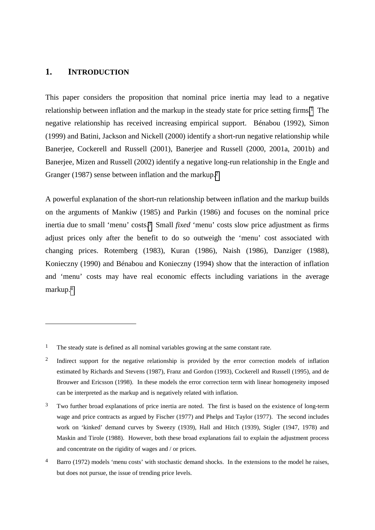#### <span id="page-4-0"></span>**1. INTRODUCTION**

 $\overline{a}$ 

This paper considers the proposition that nominal price inertia may lead to a negative relationship between inflation and the markup in the steady state for price setting firms.1 The negative relationship has received increasing empirical support. Bénabou (1992), Simon (1999) and Batini, Jackson and Nickell (2000) identify a short-run negative relationship while Banerjee, Cockerell and Russell (2001), Banerjee and Russell (2000, 2001a, 2001b) and Banerjee, Mizen and Russell (2002) identify a negative long-run relationship in the Engle and Granger (1987) sense between inflation and the markup.<sup>2</sup>

A powerful explanation of the short-run relationship between inflation and the markup builds on the arguments of Mankiw (1985) and Parkin (1986) and focuses on the nominal price inertia due to small 'menu' costs.3 Small *fixed* 'menu' costs slow price adjustment as firms adjust prices only after the benefit to do so outweigh the 'menu' cost associated with changing prices. Rotemberg (1983), Kuran (1986), Naish (1986), Danziger (1988), Konieczny (1990) and Bénabou and Konieczny (1994) show that the interaction of inflation and 'menu' costs may have real economic effects including variations in the average markup.4

<sup>&</sup>lt;sup>1</sup> The steady state is defined as all nominal variables growing at the same constant rate.

<sup>&</sup>lt;sup>2</sup> Indirect support for the negative relationship is provided by the error correction models of inflation estimated by Richards and Stevens (1987), Franz and Gordon (1993), Cockerell and Russell (1995), and de Brouwer and Ericsson (1998). In these models the error correction term with linear homogeneity imposed can be interpreted as the markup and is negatively related with inflation.

<sup>&</sup>lt;sup>3</sup> Two further broad explanations of price inertia are noted. The first is based on the existence of long-term wage and price contracts as argued by Fischer (1977) and Phelps and Taylor (1977). The second includes work on 'kinked' demand curves by Sweezy (1939), Hall and Hitch (1939), Stigler (1947, 1978) and Maskin and Tirole (1988). However, both these broad explanations fail to explain the adjustment process and concentrate on the rigidity of wages and / or prices.

<sup>&</sup>lt;sup>4</sup> Barro (1972) models 'menu costs' with stochastic demand shocks. In the extensions to the model he raises, but does not pursue, the issue of trending price levels.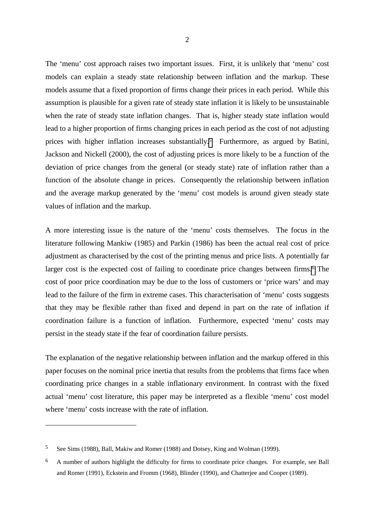The 'menu' cost approach raises two important issues. First, it is unlikely that 'menu' cost models can explain a steady state relationship between inflation and the markup. These models assume that a fixed proportion of firms change their prices in each period. While this assumption is plausible for a given rate of steady state inflation it is likely to be unsustainable when the rate of steady state inflation changes. That is, higher steady state inflation would lead to a higher proportion of firms changing prices in each period as the cost of not adjusting prices with higher inflation increases substantially.<sup>5</sup> Furthermore, as argued by Batini, Jackson and Nickell (2000), the cost of adjusting prices is more likely to be a function of the deviation of price changes from the general (or steady state) rate of inflation rather than a function of the absolute change in prices. Consequently the relationship between inflation and the average markup generated by the 'menu' cost models is around given steady state values of inflation and the markup.

A more interesting issue is the nature of the 'menu' costs themselves. The focus in the literature following Mankiw (1985) and Parkin (1986) has been the actual real cost of price adjustment as characterised by the cost of the printing menus and price lists. A potentially far larger cost is the expected cost of failing to coordinate price changes between firms.<sup>6</sup> The cost of poor price coordination may be due to the loss of customers or 'price wars' and may lead to the failure of the firm in extreme cases. This characterisation of 'menu' costs suggests that they may be flexible rather than fixed and depend in part on the rate of inflation if coordination failure is a function of inflation. Furthermore, expected 'menu' costs may persist in the steady state if the fear of coordination failure persists.

The explanation of the negative relationship between inflation and the markup offered in this paper focuses on the nominal price inertia that results from the problems that firms face when coordinating price changes in a stable inflationary environment. In contrast with the fixed actual 'menu' cost literature, this paper may be interpreted as a flexible 'menu' cost model where 'menu' costs increase with the rate of inflation.

<sup>5</sup> See Sims (1988), Ball, Makiw and Romer (1988) and Dotsey, King and Wolman (1999).

<sup>6</sup> A number of authors highlight the difficulty for firms to coordinate price changes. For example, see Ball and Romer (1991), Eckstein and Fromm (1968), Blinder (1990), and Chatterjee and Cooper (1989).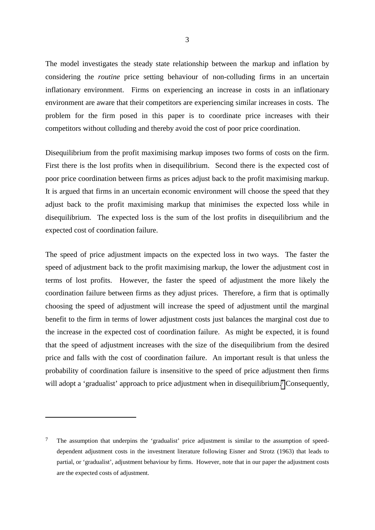The model investigates the steady state relationship between the markup and inflation by considering the *routine* price setting behaviour of non-colluding firms in an uncertain inflationary environment. Firms on experiencing an increase in costs in an inflationary environment are aware that their competitors are experiencing similar increases in costs. The problem for the firm posed in this paper is to coordinate price increases with their competitors without colluding and thereby avoid the cost of poor price coordination.

Disequilibrium from the profit maximising markup imposes two forms of costs on the firm. First there is the lost profits when in disequilibrium. Second there is the expected cost of poor price coordination between firms as prices adjust back to the profit maximising markup. It is argued that firms in an uncertain economic environment will choose the speed that they adjust back to the profit maximising markup that minimises the expected loss while in disequilibrium. The expected loss is the sum of the lost profits in disequilibrium and the expected cost of coordination failure.

The speed of price adjustment impacts on the expected loss in two ways. The faster the speed of adjustment back to the profit maximising markup, the lower the adjustment cost in terms of lost profits. However, the faster the speed of adjustment the more likely the coordination failure between firms as they adjust prices. Therefore, a firm that is optimally choosing the speed of adjustment will increase the speed of adjustment until the marginal benefit to the firm in terms of lower adjustment costs just balances the marginal cost due to the increase in the expected cost of coordination failure. As might be expected, it is found that the speed of adjustment increases with the size of the disequilibrium from the desired price and falls with the cost of coordination failure. An important result is that unless the probability of coordination failure is insensitive to the speed of price adjustment then firms will adopt a 'gradualist' approach to price adjustment when in disequilibrium.<sup>7</sup> Consequently,

<sup>&</sup>lt;sup>7</sup> The assumption that underpins the 'gradualist' price adjustment is similar to the assumption of speeddependent adjustment costs in the investment literature following Eisner and Strotz (1963) that leads to partial, or 'gradualist', adjustment behaviour by firms. However, note that in our paper the adjustment costs are the expected costs of adjustment.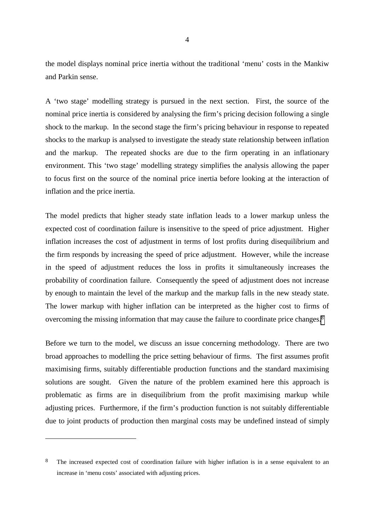the model displays nominal price inertia without the traditional 'menu' costs in the Mankiw and Parkin sense.

A 'two stage' modelling strategy is pursued in the next section. First, the source of the nominal price inertia is considered by analysing the firm's pricing decision following a single shock to the markup. In the second stage the firm's pricing behaviour in response to repeated shocks to the markup is analysed to investigate the steady state relationship between inflation and the markup. The repeated shocks are due to the firm operating in an inflationary environment. This 'two stage' modelling strategy simplifies the analysis allowing the paper to focus first on the source of the nominal price inertia before looking at the interaction of inflation and the price inertia.

The model predicts that higher steady state inflation leads to a lower markup unless the expected cost of coordination failure is insensitive to the speed of price adjustment. Higher inflation increases the cost of adjustment in terms of lost profits during disequilibrium and the firm responds by increasing the speed of price adjustment. However, while the increase in the speed of adjustment reduces the loss in profits it simultaneously increases the probability of coordination failure. Consequently the speed of adjustment does not increase by enough to maintain the level of the markup and the markup falls in the new steady state. The lower markup with higher inflation can be interpreted as the higher cost to firms of overcoming the missing information that may cause the failure to coordinate price changes.8

Before we turn to the model, we discuss an issue concerning methodology. There are two broad approaches to modelling the price setting behaviour of firms. The first assumes profit maximising firms, suitably differentiable production functions and the standard maximising solutions are sought. Given the nature of the problem examined here this approach is problematic as firms are in disequilibrium from the profit maximising markup while adjusting prices. Furthermore, if the firm's production function is not suitably differentiable due to joint products of production then marginal costs may be undefined instead of simply

<sup>&</sup>lt;sup>8</sup> The increased expected cost of coordination failure with higher inflation is in a sense equivalent to an increase in 'menu costs' associated with adjusting prices.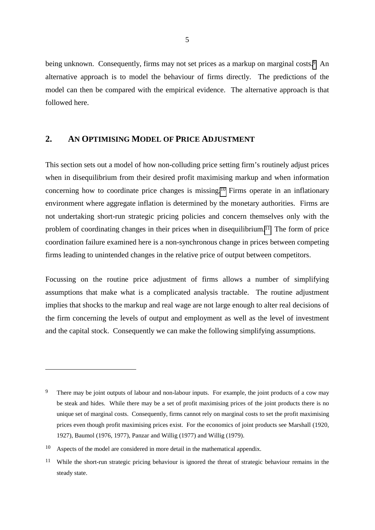<span id="page-8-0"></span>being unknown. Consequently, firms may not set prices as a markup on marginal costs.<sup>9</sup> An alternative approach is to model the behaviour of firms directly. The predictions of the model can then be compared with the empirical evidence. The alternative approach is that followed here.

## **2. AN OPTIMISING MODEL OF PRICE ADJUSTMENT**

This section sets out a model of how non-colluding price setting firm's routinely adjust prices when in disequilibrium from their desired profit maximising markup and when information concerning how to coordinate price changes is missing.10 Firms operate in an inflationary environment where aggregate inflation is determined by the monetary authorities. Firms are not undertaking short-run strategic pricing policies and concern themselves only with the problem of coordinating changes in their prices when in disequilibrium.11 The form of price coordination failure examined here is a non-synchronous change in prices between competing firms leading to unintended changes in the relative price of output between competitors.

Focussing on the routine price adjustment of firms allows a number of simplifying assumptions that make what is a complicated analysis tractable. The routine adjustment implies that shocks to the markup and real wage are not large enough to alter real decisions of the firm concerning the levels of output and employment as well as the level of investment and the capital stock. Consequently we can make the following simplifying assumptions.

<sup>&</sup>lt;sup>9</sup> There may be joint outputs of labour and non-labour inputs. For example, the joint products of a cow may be steak and hides. While there may be a set of profit maximising prices of the joint products there is no unique set of marginal costs. Consequently, firms cannot rely on marginal costs to set the profit maximising prices even though profit maximising prices exist. For the economics of joint products see Marshall (1920, 1927), Baumol (1976, 1977), Panzar and Willig (1977) and Willig (1979).

<sup>10</sup> Aspects of the model are considered in more detail in the mathematical appendix.

<sup>11</sup> While the short-run strategic pricing behaviour is ignored the threat of strategic behaviour remains in the steady state.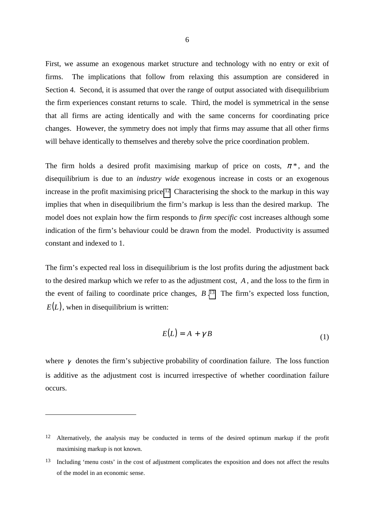First, we assume an exogenous market structure and technology with no entry or exit of firms. The implications that follow from relaxing this assumption are considered in Section 4. Second, it is assumed that over the range of output associated with disequilibrium the firm experiences constant returns to scale. Third, the model is symmetrical in the sense that all firms are acting identically and with the same concerns for coordinating price changes. However, the symmetry does not imply that firms may assume that all other firms will behave identically to themselves and thereby solve the price coordination problem.

The firm holds a desired profit maximising markup of price on costs,  $\pi^*$ , and the disequilibrium is due to an *industry wide* exogenous increase in costs or an exogenous increase in the profit maximising price.12 Characterising the shock to the markup in this way implies that when in disequilibrium the firm's markup is less than the desired markup. The model does not explain how the firm responds to *firm specific* cost increases although some indication of the firm's behaviour could be drawn from the model. Productivity is assumed constant and indexed to 1.

The firm's expected real loss in disequilibrium is the lost profits during the adjustment back to the desired markup which we refer to as the adjustment cost, *A* , and the loss to the firm in the event of failing to coordinate price changes, *B* .13 The firm's expected loss function,  $E(L)$ , when in disequilibrium is written:

$$
E(L) = A + \gamma B \tag{1}
$$

where  $\gamma$  denotes the firm's subjective probability of coordination failure. The loss function is additive as the adjustment cost is incurred irrespective of whether coordination failure occurs.

<sup>&</sup>lt;sup>12</sup> Alternatively, the analysis may be conducted in terms of the desired optimum markup if the profit maximising markup is not known.

<sup>13</sup> Including 'menu costs' in the cost of adjustment complicates the exposition and does not affect the results of the model in an economic sense.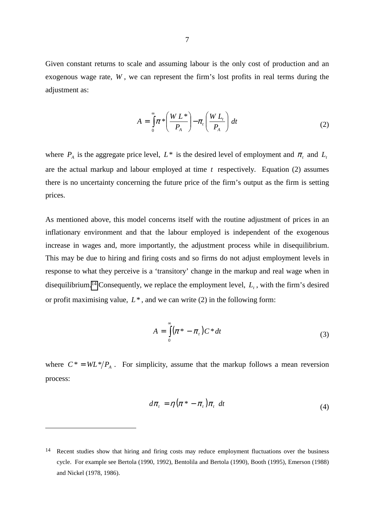Given constant returns to scale and assuming labour is the only cost of production and an exogenous wage rate, *W* , we can represent the firm's lost profits in real terms during the adjustment as:

$$
A = \int_{0}^{\infty} \pi \sqrt[k]{\frac{W L^*}{P_A}} - \pi_t \left(\frac{W L_t}{P_A}\right) dt
$$
 (2)

where  $P_A$  is the aggregate price level,  $L^*$  is the desired level of employment and  $\pi_t$  and  $L_t$ are the actual markup and labour employed at time *t* respectively. Equation (2) assumes there is no uncertainty concerning the future price of the firm's output as the firm is setting prices.

As mentioned above, this model concerns itself with the routine adjustment of prices in an inflationary environment and that the labour employed is independent of the exogenous increase in wages and, more importantly, the adjustment process while in disequilibrium. This may be due to hiring and firing costs and so firms do not adjust employment levels in response to what they perceive is a 'transitory' change in the markup and real wage when in disequilibrium.<sup>14</sup> Consequently, we replace the employment level,  $L<sub>t</sub>$ , with the firm's desired or profit maximising value, *L*\* , and we can write (2) in the following form:

$$
A = \int_{0}^{\infty} (\pi^* - \pi_t) C^* dt
$$
 (3)

where  $C^* = WL^*/P_A$ . For simplicity, assume that the markup follows a mean reversion process:

$$
d\pi_t = \eta \left( \pi^* - \pi_t \right) \pi_t \ dt \tag{4}
$$

<sup>&</sup>lt;sup>14</sup> Recent studies show that hiring and firing costs may reduce employment fluctuations over the business cycle. For example see Bertola (1990, 1992), Bentolila and Bertola (1990), Booth (1995), Emerson (1988) and Nickel (1978, 1986).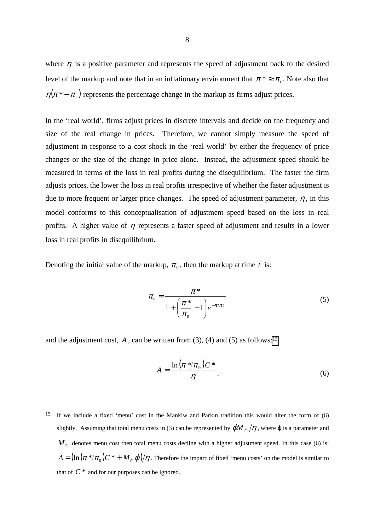where  $\eta$  is a positive parameter and represents the speed of adjustment back to the desired level of the markup and note that in an inflationary environment that  $\pi^* \geq \pi$ . Note also that  $\eta(\pi^* - \pi_t)$  represents the percentage change in the markup as firms adjust prices.

In the 'real world', firms adjust prices in discrete intervals and decide on the frequency and size of the real change in prices. Therefore, we cannot simply measure the speed of adjustment in response to a cost shock in the 'real world' by either the frequency of price changes or the size of the change in price alone. Instead, the adjustment speed should be measured in terms of the loss in real profits during the disequilibrium. The faster the firm adjusts prices, the lower the loss in real profits irrespective of whether the faster adjustment is due to more frequent or larger price changes. The speed of adjustment parameter,  $\eta$ , in this model conforms to this conceptualisation of adjustment speed based on the loss in real profits. A higher value of  $\eta$  represents a faster speed of adjustment and results in a lower loss in real profits in disequilibrium.

Denoting the initial value of the markup,  $\pi_0$ , then the markup at time t is:

$$
\pi_t = \frac{\pi^*}{1 + \left(\frac{\pi^*}{\pi_0} - 1\right) e^{-\pi^* \eta t}}
$$
\n
$$
(5)
$$

and the adjustment cost,  $A$ , can be written from (3), (4) and (5) as follows:<sup>15</sup>

 $\overline{a}$ 

$$
A = \frac{\ln\left(\pi * / \pi_0\right)C^*}{\eta}.
$$
\n<sup>(6)</sup>

15 If we include a fixed 'menu' cost in the Mankiw and Parkin tradition this would alter the form of (6) slightly. Assuming that total menu costs in (3) can be represented by  $\phi M_c/\eta$ , where  $\phi$  is a parameter and  $M_c$  denotes menu cost then total menu costs decline with a higher adjustment speed. In this case (6) is:  $A = (\ln (\pi * / \pi_0) C^* + M_C \varphi) / \eta$ . Therefore the impact of fixed 'menu costs' on the model is similar to that of  $C^*$  and for our purposes can be ignored.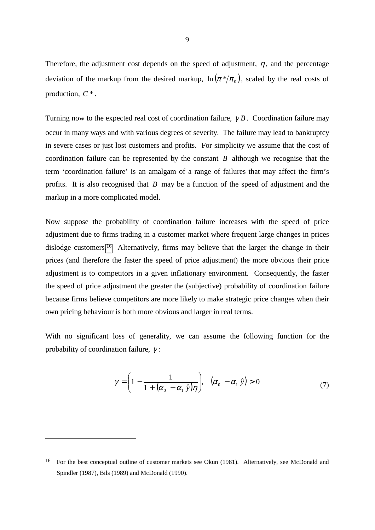Therefore, the adjustment cost depends on the speed of adjustment,  $\eta$ , and the percentage deviation of the markup from the desired markup,  $\ln \left( \pi * \right) / \pi_{0}$ , scaled by the real costs of production, *C* \* .

Turning now to the expected real cost of coordination failure, γ *B* . Coordination failure may occur in many ways and with various degrees of severity. The failure may lead to bankruptcy in severe cases or just lost customers and profits. For simplicity we assume that the cost of coordination failure can be represented by the constant *B* although we recognise that the term 'coordination failure' is an amalgam of a range of failures that may affect the firm's profits. It is also recognised that *B* may be a function of the speed of adjustment and the markup in a more complicated model.

Now suppose the probability of coordination failure increases with the speed of price adjustment due to firms trading in a customer market where frequent large changes in prices dislodge customers.16 Alternatively, firms may believe that the larger the change in their prices (and therefore the faster the speed of price adjustment) the more obvious their price adjustment is to competitors in a given inflationary environment. Consequently, the faster the speed of price adjustment the greater the (subjective) probability of coordination failure because firms believe competitors are more likely to make strategic price changes when their own pricing behaviour is both more obvious and larger in real terms.

With no significant loss of generality, we can assume the following function for the probability of coordination failure, γ :

$$
\gamma = \left(1 - \frac{1}{1 + (\alpha_0 - \alpha_1 \hat{y})\eta}\right), \quad (\alpha_0 - \alpha_1 \hat{y}) > 0 \tag{7}
$$

<sup>16</sup> For the best conceptual outline of customer markets see Okun (1981). Alternatively, see McDonald and Spindler (1987), Bils (1989) and McDonald (1990).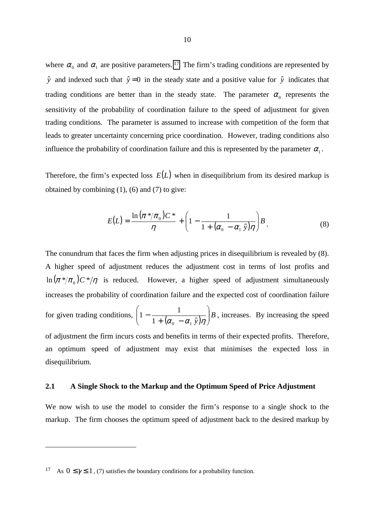<span id="page-13-0"></span>where  $\alpha_0$  and  $\alpha_1$  are positive parameters. <sup>17</sup> The firm's trading conditions are represented by  $\hat{y}$  and indexed such that  $\hat{y} = 0$  in the steady state and a positive value for  $\hat{y}$  indicates that trading conditions are better than in the steady state. The parameter  $\alpha_0$  represents the sensitivity of the probability of coordination failure to the speed of adjustment for given trading conditions. The parameter is assumed to increase with competition of the form that leads to greater uncertainty concerning price coordination. However, trading conditions also influence the probability of coordination failure and this is represented by the parameter  $\alpha_1$ .

Therefore, the firm's expected loss  $E(L)$  when in disequilibrium from its desired markup is obtained by combining  $(1)$ ,  $(6)$  and  $(7)$  to give:

$$
E(L) = \frac{\ln(\pi * / \pi_0)C^*}{\eta} + \left(1 - \frac{1}{1 + (\alpha_0 - \alpha_1 \hat{y})\eta}\right)B.
$$
 (8)

The conundrum that faces the firm when adjusting prices in disequilibrium is revealed by (8). A higher speed of adjustment reduces the adjustment cost in terms of lost profits and  $\ln (\pi * / \pi_0) C * / \eta$  is reduced. However, a higher speed of adjustment simultaneously increases the probability of coordination failure and the expected cost of coordination failure for given trading conditions,  $\left(1 - \frac{1}{1 + (\alpha_0 - \alpha_1 \hat{y})\eta}\right)B$ - $\backslash$  $\overline{\phantom{a}}$ l ſ  $-\frac{1}{1+(\alpha_0-\alpha_1\,\hat{y})\eta}$  $1 - \frac{1}{1}$ 0  $u_1$ , increases. By increasing the speed of adjustment the firm incurs costs and benefits in terms of their expected profits. Therefore,

an optimum speed of adjustment may exist that minimises the expected loss in disequilibrium.

#### **2.1 A Single Shock to the Markup and the Optimum Speed of Price Adjustment**

We now wish to use the model to consider the firm's response to a single shock to the markup. The firm chooses the optimum speed of adjustment back to the desired markup by

<sup>&</sup>lt;sup>17</sup> As  $0 \le \gamma \le 1$ , (7) satisfies the boundary conditions for a probability function.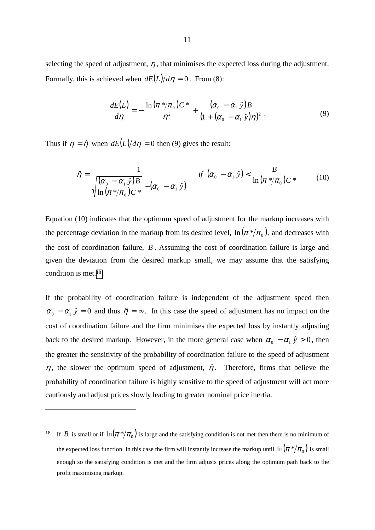selecting the speed of adjustment,  $\eta$ , that minimises the expected loss during the adjustment. Formally, this is achieved when  $dE(L)/d\eta = 0$ . From (8):

$$
\frac{dE(L)}{d\eta} = -\frac{\ln(\pi * / \pi_0)C^*}{\eta^2} + \frac{(\alpha_0 - \alpha_1 \hat{y})B}{(1 + (\alpha_0 - \alpha_1 \hat{y})\eta)^2}.
$$
\n(9)

Thus if  $\eta = \hat{\eta}$  when  $dE(L)/d\eta = 0$  then (9) gives the result:

 $\overline{a}$ 

$$
\hat{\eta} = \frac{1}{\sqrt{\frac{(\alpha_0 - \alpha_1 \hat{y})B}{\ln(\pi^* / \pi_0)C^*} - (\alpha_0 - \alpha_1 \hat{y})}} \quad \text{if } (\alpha_0 - \alpha_1 \hat{y}) < \frac{B}{\ln(\pi^* / \pi_0)C^*}
$$
(10)

Equation (10) indicates that the optimum speed of adjustment for the markup increases with the percentage deviation in the markup from its desired level,  $\ln\left(\pi\,\mathrm{\ast}/\pi_{_0}\right)$ , and decreases with the cost of coordination failure, *B* . Assuming the cost of coordination failure is large and given the deviation from the desired markup small, we may assume that the satisfying condition is met.18

If the probability of coordination failure is independent of the adjustment speed then  $\alpha_0 - \alpha_1 \hat{y} = 0$  and thus  $\hat{\eta} = \infty$ . In this case the speed of adjustment has no impact on the cost of coordination failure and the firm minimises the expected loss by instantly adjusting back to the desired markup. However, in the more general case when  $\alpha_0 - \alpha_1 \hat{y} > 0$ , then the greater the sensitivity of the probability of coordination failure to the speed of adjustment  $\eta$ , the slower the optimum speed of adjustment,  $\hat{\eta}$ . Therefore, firms that believe the probability of coordination failure is highly sensitive to the speed of adjustment will act more cautiously and adjust prices slowly leading to greater nominal price inertia.

<sup>&</sup>lt;sup>18</sup> If *B* is small or if  $\ln(\pi * / \pi_0)$  is large and the satisfying condition is not met then there is no minimum of the expected loss function. In this case the firm will instantly increase the markup until  $\ln(\pi*/\pi_{_0})$  is small enough so the satisfying condition is met and the firm adjusts prices along the optimum path back to the profit maximising markup.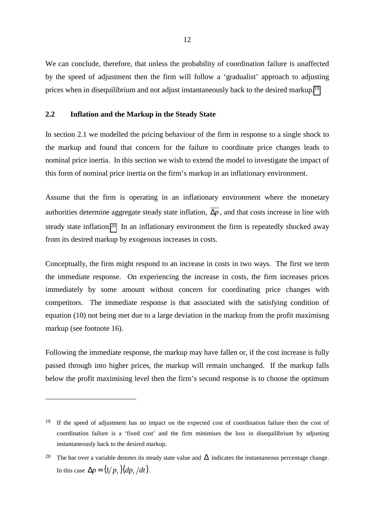<span id="page-15-0"></span>We can conclude, therefore, that unless the probability of coordination failure is unaffected by the speed of adjustment then the firm will follow a 'gradualist' approach to adjusting prices when in disequilibrium and not adjust instantaneously back to the desired markup.19

### **2.2 Inflation and the Markup in the Steady State**

 $\overline{a}$ 

In section 2.1 we modelled the pricing behaviour of the firm in response to a single shock to the markup and found that concern for the failure to coordinate price changes leads to nominal price inertia. In this section we wish to extend the model to investigate the impact of this form of nominal price inertia on the firm's markup in an inflationary environment.

Assume that the firm is operating in an inflationary environment where the monetary authorities determine aggregate steady state inflation,  $\overline{\Delta p}$ , and that costs increase in line with steady state inflation.20 In an inflationary environment the firm is repeatedly shocked away from its desired markup by exogenous increases in costs.

Conceptually, the firm might respond to an increase in costs in two ways. The first we term the immediate response. On experiencing the increase in costs, the firm increases prices immediately by some amount without concern for coordinating price changes with competitors. The immediate response is that associated with the satisfying condition of equation (10) not being met due to a large deviation in the markup from the profit maximisng markup (see footnote 16).

Following the immediate response, the markup may have fallen or, if the cost increase is fully passed through into higher prices, the markup will remain unchanged. If the markup falls below the profit maximising level then the firm's second response is to choose the optimum

<sup>&</sup>lt;sup>19</sup> If the speed of adjustment has no impact on the expected cost of coordination failure then the cost of coordination failure is a 'fixed cost' and the firm minimises the loss in disequilibrium by adjusting instantaneously back to the desired markup.

<sup>&</sup>lt;sup>20</sup> The bar over a variable denotes its steady state value and  $\Delta$  indicates the instantaneous percentage change. In this case  $\Delta p = (1/p_1)(dp_1/dt)$ .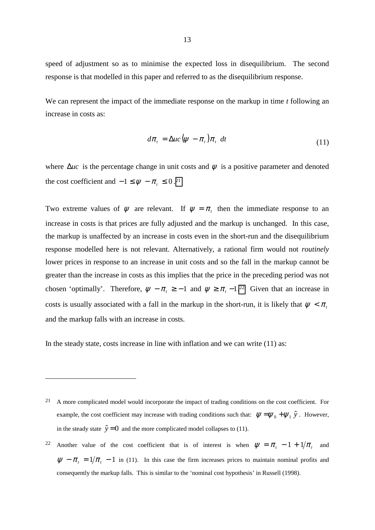speed of adjustment so as to minimise the expected loss in disequilibrium. The second response is that modelled in this paper and referred to as the disequilibrium response.

We can represent the impact of the immediate response on the markup in time *t* following an increase in costs as:

$$
d\pi_t = \Delta u c \left(\psi - \pi_t\right) \pi_t \ dt \tag{11}
$$

where  $\Delta u_c$  is the percentage change in unit costs and  $\psi$  is a positive parameter and denoted the cost coefficient and  $-1 \leq \psi - \pi_t \leq 0$ .<sup>21</sup>

Two extreme values of  $\psi$  are relevant. If  $\psi = \pi_t$  then the immediate response to an increase in costs is that prices are fully adjusted and the markup is unchanged. In this case, the markup is unaffected by an increase in costs even in the short-run and the disequilibrium response modelled here is not relevant. Alternatively, a rational firm would not *routinely* lower prices in response to an increase in unit costs and so the fall in the markup cannot be greater than the increase in costs as this implies that the price in the preceding period was not chosen 'optimally'. Therefore,  $\psi - \pi_t \ge -1$  and  $\psi \ge \pi_t - 1$ .<sup>22</sup> Given that an increase in costs is usually associated with a fall in the markup in the short-run, it is likely that  $\psi < \pi$ , and the markup falls with an increase in costs.

In the steady state, costs increase in line with inflation and we can write (11) as:

<sup>&</sup>lt;sup>21</sup> A more complicated model would incorporate the impact of trading conditions on the cost coefficient. For example, the cost coefficient may increase with trading conditions such that:  $\psi = \psi_0 + \psi_1 \hat{y}$ . However, in the steady state  $\hat{y} = 0$  and the more complicated model collapses to (11).

<sup>22</sup> Another value of the cost coefficient that is of interest is when  $\psi = \pi_t - 1 + 1/\pi_t$  and  $\psi - \pi_t = 1/\pi_t - 1$  in (11). In this case the firm increases prices to maintain nominal profits and consequently the markup falls. This is similar to the 'nominal cost hypothesis' in Russell (1998).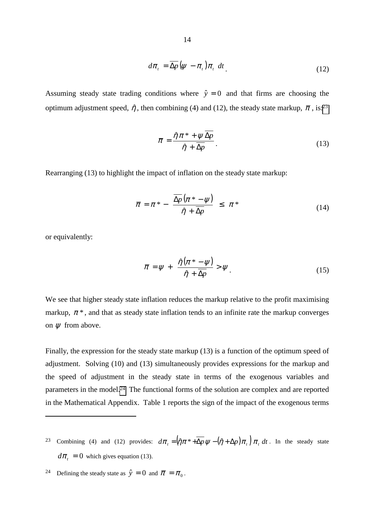$$
d\pi_t = \overline{\Delta p} \left( \psi - \pi_t \right) \pi_t \ dt \tag{12}
$$

Assuming steady state trading conditions where  $\hat{y} = 0$  and that firms are choosing the optimum adjustment speed,  $\hat{\eta}$ , then combining (4) and (12), the steady state markup,  $\bar{\pi}$ , is:<sup>23</sup>

$$
\overline{\pi} = \frac{\hat{\eta}\pi^* + \psi \Delta p}{\hat{\eta} + \overline{\Delta p}}.
$$
\n(13)

Rearranging (13) to highlight the impact of inflation on the steady state markup:

$$
\overline{\pi} = \pi^* - \frac{\overline{\Delta p}(\pi^* - \psi)}{\hat{\eta} + \overline{\Delta p}} \leq \pi^*
$$
\n(14)

or equivalently:

 $\overline{a}$ 

$$
\overline{\pi} = \psi + \frac{\hat{\eta}(\pi^* - \psi)}{\hat{\eta} + \overline{\Delta p}} > \psi.
$$
 (15)

We see that higher steady state inflation reduces the markup relative to the profit maximising markup,  $\pi^*$ , and that as steady state inflation tends to an infinite rate the markup converges on  $\psi$  from above.

Finally, the expression for the steady state markup (13) is a function of the optimum speed of adjustment. Solving (10) and (13) simultaneously provides expressions for the markup and the speed of adjustment in the steady state in terms of the exogenous variables and parameters in the model.24 The functional forms of the solution are complex and are reported in the Mathematical Appendix. Table 1 reports the sign of the impact of the exogenous terms

- 23 Combining (4) and (12) provides:  $d\pi_t = (\hat{\eta}\pi^* + \overline{\Delta p}\psi (\hat{\eta} + \Delta p)\pi_t)\pi_t dt$ . In the steady state  $d\pi_t = 0$  which gives equation (13).
- <sup>24</sup> Defining the steady state as  $\hat{y} = 0$  and  $\bar{\pi} = \pi_0$ .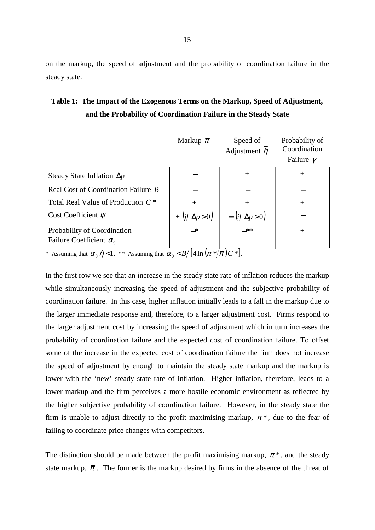on the markup, the speed of adjustment and the probability of coordination failure in the steady state.

## **Table 1: The Impact of the Exogenous Terms on the Markup, Speed of Adjustment, and the Probability of Coordination Failure in the Steady State**

|                                                               | Markup $\bar{\pi}$                                                     | Speed of<br>Adjustment $\hat{\eta}$              | Probability of<br>Coordination<br>Failure $\gamma$ |
|---------------------------------------------------------------|------------------------------------------------------------------------|--------------------------------------------------|----------------------------------------------------|
| Steady State Inflation $\Delta p$                             |                                                                        | $\pm$                                            | $\div$                                             |
| Real Cost of Coordination Failure B                           |                                                                        |                                                  |                                                    |
| Total Real Value of Production C <sup>*</sup>                 |                                                                        |                                                  | $+$                                                |
| Cost Coefficient $\psi$                                       | + $\left( \text{if } \overline{\Delta p} > 0 \right)$<br>$\rightarrow$ | $-\left(if\overline{\Delta p}>0\right)$<br>$-**$ |                                                    |
| Probability of Coordination<br>Failure Coefficient $\alpha_0$ |                                                                        |                                                  | $^{+}$                                             |

\* Assuming that  $\alpha_0 \hat{\eta} < 1$ . \*\* Assuming that  $\alpha_0 < B/ \left[ 4 \ln \left( \pi \frac{2\pi}{\pi} \right) C \right]$ .

In the first row we see that an increase in the steady state rate of inflation reduces the markup while simultaneously increasing the speed of adjustment and the subjective probability of coordination failure. In this case, higher inflation initially leads to a fall in the markup due to the larger immediate response and, therefore, to a larger adjustment cost. Firms respond to the larger adjustment cost by increasing the speed of adjustment which in turn increases the probability of coordination failure and the expected cost of coordination failure. To offset some of the increase in the expected cost of coordination failure the firm does not increase the speed of adjustment by enough to maintain the steady state markup and the markup is lower with the 'new' steady state rate of inflation. Higher inflation, therefore, leads to a lower markup and the firm perceives a more hostile economic environment as reflected by the higher subjective probability of coordination failure. However, in the steady state the firm is unable to adjust directly to the profit maximising markup,  $\pi^*$ , due to the fear of failing to coordinate price changes with competitors.

The distinction should be made between the profit maximising markup,  $\pi^*$ , and the steady state markup,  $\bar{\pi}$ . The former is the markup desired by firms in the absence of the threat of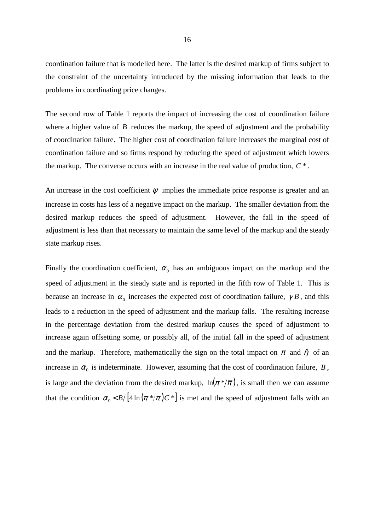coordination failure that is modelled here. The latter is the desired markup of firms subject to the constraint of the uncertainty introduced by the missing information that leads to the problems in coordinating price changes.

The second row of Table 1 reports the impact of increasing the cost of coordination failure where a higher value of  $\hat{B}$  reduces the markup, the speed of adjustment and the probability of coordination failure. The higher cost of coordination failure increases the marginal cost of coordination failure and so firms respond by reducing the speed of adjustment which lowers the markup. The converse occurs with an increase in the real value of production, *C* \* .

An increase in the cost coefficient  $\psi$  implies the immediate price response is greater and an increase in costs has less of a negative impact on the markup. The smaller deviation from the desired markup reduces the speed of adjustment. However, the fall in the speed of adjustment is less than that necessary to maintain the same level of the markup and the steady state markup rises.

Finally the coordination coefficient,  $\alpha_0$  has an ambiguous impact on the markup and the speed of adjustment in the steady state and is reported in the fifth row of Table 1. This is because an increase in  $\alpha_0$  increases the expected cost of coordination failure,  $\gamma B$ , and this leads to a reduction in the speed of adjustment and the markup falls. The resulting increase in the percentage deviation from the desired markup causes the speed of adjustment to increase again offsetting some, or possibly all, of the initial fall in the speed of adjustment and the markup. Therefore, mathematically the sign on the total impact on  $\bar{\pi}$  and  $\bar{\eta}$  of an increase in  $\alpha_0$  is indeterminate. However, assuming that the cost of coordination failure, *B*, is large and the deviation from the desired markup,  $\ln(\pi * / \overline{\pi})$ , is small then we can assume that the condition  $\alpha_0 < B/ \left[ 4 \ln \left( \frac{\pi \ast}{\overline{R}} \right) C \right]$  is met and the speed of adjustment falls with an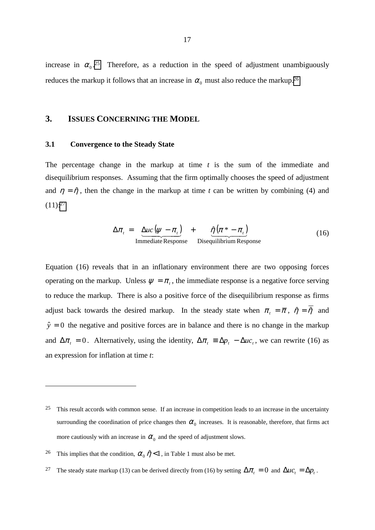<span id="page-20-0"></span>increase in  $\alpha_0$ <sup>25</sup> Therefore, as a reduction in the speed of adjustment unambiguously reduces the markup it follows that an increase in  $\alpha_0$  must also reduce the markup.<sup>26</sup>

## **3. ISSUES CONCERNING THE MODEL**

#### **3.1 Convergence to the Steady State**

The percentage change in the markup at time *t* is the sum of the immediate and disequilibrium responses. Assuming that the firm optimally chooses the speed of adjustment and  $\eta = \hat{\eta}$ , then the change in the markup at time *t* can be written by combining (4) and  $(11):^{27}$ 

$$
\Delta \pi_t = \underbrace{\Delta u c \left(\psi - \pi_t\right)}_{\text{Immediate Response}} + \underbrace{\hat{\eta} \left(\pi^* - \pi_t\right)}_{\text{Disequilibrium Response}} \tag{16}
$$

Equation (16) reveals that in an inflationary environment there are two opposing forces operating on the markup. Unless  $\psi = \pi_t$ , the immediate response is a negative force serving to reduce the markup. There is also a positive force of the disequilibrium response as firms adjust back towards the desired markup. In the steady state when  $\pi_t = \overline{\pi}$ ,  $\hat{\eta} = \overline{\hat{\eta}}$  and  $\hat{y} = 0$  the negative and positive forces are in balance and there is no change in the markup and  $\Delta \pi_t = 0$ . Alternatively, using the identity,  $\Delta \pi_t = \Delta p_t - \Delta u c_t$ , we can rewrite (16) as an expression for inflation at time *t*:

 $25$  This result accords with common sense. If an increase in competition leads to an increase in the uncertainty surrounding the coordination of price changes then  $\alpha_0$  increases. It is reasonable, therefore, that firms act more cautiously with an increase in  $\alpha_0$  and the speed of adjustment slows.

<sup>&</sup>lt;sup>26</sup> This implies that the condition,  $\alpha_0 \hat{\eta} < 1$ , in Table 1 must also be met.

<sup>&</sup>lt;sup>27</sup> The steady state markup (13) can be derived directly from (16) by setting  $\Delta \pi_t = 0$  and  $\Delta u c_t = \Delta p_t$ .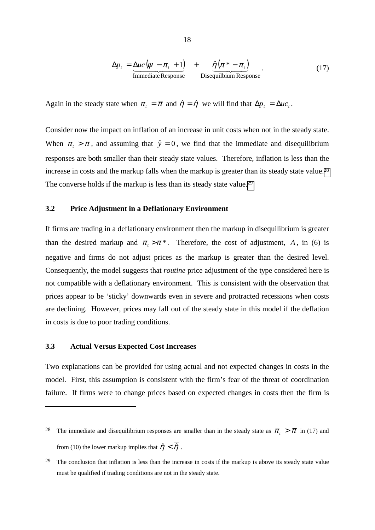$$
\Delta p_t = \underline{\Delta u c (\psi - \pi_t + 1)} \longrightarrow \hat{\eta} (\pi^* - \pi_t)
$$
  
Immediate Response  
Disquilibrium Response (17)

<span id="page-21-0"></span>Again in the steady state when  $\pi_t = \overline{\pi}$  and  $\hat{\eta} = \overline{\hat{\eta}}$  we will find that  $\Delta p_t = \Delta u c_t$ .

Consider now the impact on inflation of an increase in unit costs when not in the steady state. When  $\pi$  >  $\bar{\pi}$ , and assuming that  $\hat{y} = 0$ , we find that the immediate and disequilibrium responses are both smaller than their steady state values. Therefore, inflation is less than the increase in costs and the markup falls when the markup is greater than its steady state value.<sup>28</sup> The converse holds if the markup is less than its steady state value.29

#### **3.2 Price Adjustment in a Deflationary Environment**

If firms are trading in a deflationary environment then the markup in disequilibrium is greater than the desired markup and  $\pi$ ,  $>\pi$ <sup>\*</sup>. Therefore, the cost of adjustment, *A*, in (6) is negative and firms do not adjust prices as the markup is greater than the desired level. Consequently, the model suggests that *routine* price adjustment of the type considered here is not compatible with a deflationary environment. This is consistent with the observation that prices appear to be 'sticky' downwards even in severe and protracted recessions when costs are declining. However, prices may fall out of the steady state in this model if the deflation in costs is due to poor trading conditions.

#### **3.3 Actual Versus Expected Cost Increases**

 $\overline{a}$ 

Two explanations can be provided for using actual and not expected changes in costs in the model. First, this assumption is consistent with the firm's fear of the threat of coordination failure. If firms were to change prices based on expected changes in costs then the firm is

<sup>&</sup>lt;sup>28</sup> The immediate and disequilibrium responses are smaller than in the steady state as  $\pi$ <sub>t</sub>  $> \bar{\pi}$  in (17) and from (10) the lower markup implies that  $\hat{\eta} < \overline{\hat{\eta}}$ .

<sup>&</sup>lt;sup>29</sup> The conclusion that inflation is less than the increase in costs if the markup is above its steady state value must be qualified if trading conditions are not in the steady state.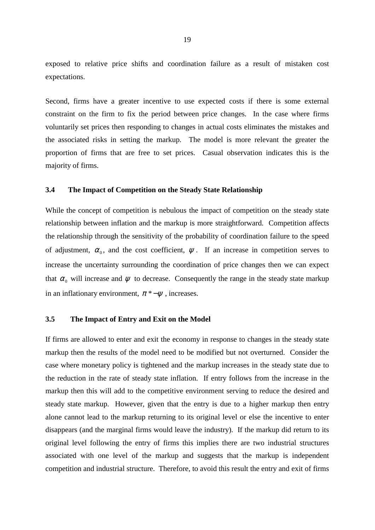<span id="page-22-0"></span>exposed to relative price shifts and coordination failure as a result of mistaken cost expectations.

Second, firms have a greater incentive to use expected costs if there is some external constraint on the firm to fix the period between price changes. In the case where firms voluntarily set prices then responding to changes in actual costs eliminates the mistakes and the associated risks in setting the markup. The model is more relevant the greater the proportion of firms that are free to set prices. Casual observation indicates this is the majority of firms.

#### **3.4 The Impact of Competition on the Steady State Relationship**

While the concept of competition is nebulous the impact of competition on the steady state relationship between inflation and the markup is more straightforward. Competition affects the relationship through the sensitivity of the probability of coordination failure to the speed of adjustment,  $\alpha_0$ , and the cost coefficient,  $\psi$ . If an increase in competition serves to increase the uncertainty surrounding the coordination of price changes then we can expect that  $\alpha_0$  will increase and  $\psi$  to decrease. Consequently the range in the steady state markup in an inflationary environment,  $\pi^*-\psi$ , increases.

#### **3.5 The Impact of Entry and Exit on the Model**

If firms are allowed to enter and exit the economy in response to changes in the steady state markup then the results of the model need to be modified but not overturned. Consider the case where monetary policy is tightened and the markup increases in the steady state due to the reduction in the rate of steady state inflation. If entry follows from the increase in the markup then this will add to the competitive environment serving to reduce the desired and steady state markup. However, given that the entry is due to a higher markup then entry alone cannot lead to the markup returning to its original level or else the incentive to enter disappears (and the marginal firms would leave the industry). If the markup did return to its original level following the entry of firms this implies there are two industrial structures associated with one level of the markup and suggests that the markup is independent competition and industrial structure. Therefore, to avoid this result the entry and exit of firms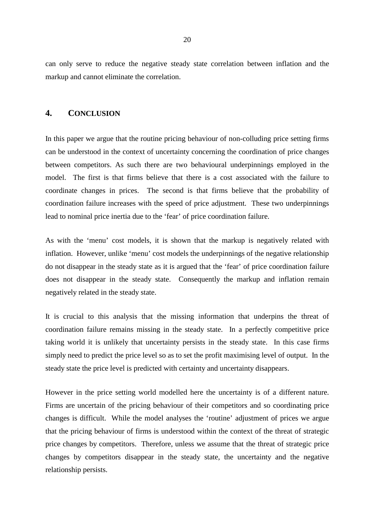<span id="page-23-0"></span>can only serve to reduce the negative steady state correlation between inflation and the markup and cannot eliminate the correlation.

#### **4. CONCLUSION**

In this paper we argue that the routine pricing behaviour of non-colluding price setting firms can be understood in the context of uncertainty concerning the coordination of price changes between competitors. As such there are two behavioural underpinnings employed in the model. The first is that firms believe that there is a cost associated with the failure to coordinate changes in prices. The second is that firms believe that the probability of coordination failure increases with the speed of price adjustment. These two underpinnings lead to nominal price inertia due to the 'fear' of price coordination failure.

As with the 'menu' cost models, it is shown that the markup is negatively related with inflation. However, unlike 'menu' cost models the underpinnings of the negative relationship do not disappear in the steady state as it is argued that the 'fear' of price coordination failure does not disappear in the steady state. Consequently the markup and inflation remain negatively related in the steady state.

It is crucial to this analysis that the missing information that underpins the threat of coordination failure remains missing in the steady state. In a perfectly competitive price taking world it is unlikely that uncertainty persists in the steady state. In this case firms simply need to predict the price level so as to set the profit maximising level of output. In the steady state the price level is predicted with certainty and uncertainty disappears.

However in the price setting world modelled here the uncertainty is of a different nature. Firms are uncertain of the pricing behaviour of their competitors and so coordinating price changes is difficult. While the model analyses the 'routine' adjustment of prices we argue that the pricing behaviour of firms is understood within the context of the threat of strategic price changes by competitors. Therefore, unless we assume that the threat of strategic price changes by competitors disappear in the steady state, the uncertainty and the negative relationship persists.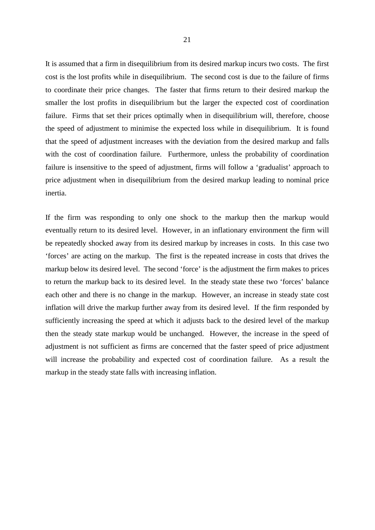It is assumed that a firm in disequilibrium from its desired markup incurs two costs. The first cost is the lost profits while in disequilibrium. The second cost is due to the failure of firms to coordinate their price changes. The faster that firms return to their desired markup the smaller the lost profits in disequilibrium but the larger the expected cost of coordination failure. Firms that set their prices optimally when in disequilibrium will, therefore, choose the speed of adjustment to minimise the expected loss while in disequilibrium. It is found that the speed of adjustment increases with the deviation from the desired markup and falls with the cost of coordination failure. Furthermore, unless the probability of coordination failure is insensitive to the speed of adjustment, firms will follow a 'gradualist' approach to price adjustment when in disequilibrium from the desired markup leading to nominal price inertia.

If the firm was responding to only one shock to the markup then the markup would eventually return to its desired level. However, in an inflationary environment the firm will be repeatedly shocked away from its desired markup by increases in costs. In this case two 'forces' are acting on the markup. The first is the repeated increase in costs that drives the markup below its desired level. The second 'force' is the adjustment the firm makes to prices to return the markup back to its desired level. In the steady state these two 'forces' balance each other and there is no change in the markup. However, an increase in steady state cost inflation will drive the markup further away from its desired level. If the firm responded by sufficiently increasing the speed at which it adjusts back to the desired level of the markup then the steady state markup would be unchanged. However, the increase in the speed of adjustment is not sufficient as firms are concerned that the faster speed of price adjustment will increase the probability and expected cost of coordination failure. As a result the markup in the steady state falls with increasing inflation.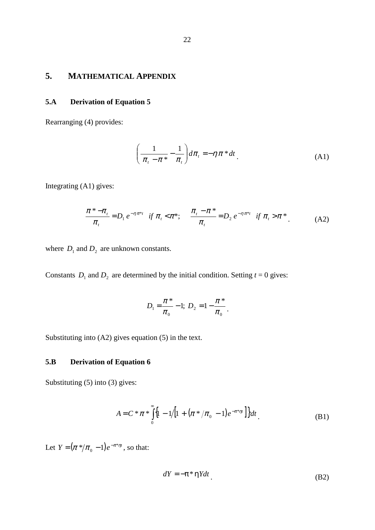## <span id="page-25-0"></span>**5. MATHEMATICAL APPENDIX**

## **5.A Derivation of Equation 5**

Rearranging (4) provides:

$$
\left(\frac{1}{\pi_{t}-\pi^{*}}-\frac{1}{\pi_{t}}\right)d\pi_{t}=-\eta\,\pi^{*}dt\,. \tag{A1}
$$

Integrating (A1) gives:

$$
\frac{\pi^* - \pi_t}{\pi_t} = D_1 e^{-\eta \pi^* t} \quad \text{if } \pi_t < \pi^*; \qquad \frac{\pi_t - \pi^*}{\pi_t} = D_2 e^{-\eta \pi^* t} \quad \text{if } \pi_t > \pi^* \tag{A2}
$$

where  $D_1$  and  $D_2$  are unknown constants.

Constants  $D_1$  and  $D_2$  are determined by the initial condition. Setting  $t = 0$  gives:

$$
D_1 = \frac{\pi^*}{\pi_0} - 1; \ D_2 = 1 - \frac{\pi^*}{\pi_0}.
$$

Substituting into (A2) gives equation (5) in the text.

## **5.B Derivation of Equation 6**

Substituting (5) into (3) gives:

$$
A = C * \pi * \int_{0}^{\infty} \left\{1 - 1/\left[1 + (\pi * / \pi_0 - 1)e^{-\pi * \eta t}\right]\right\} dt
$$
 (B1)

Let  $Y = (\pi^* / \pi_0 - 1) e^{-\pi^* \eta t}$ , so that:

$$
dY = -\pi^* \eta Y dt
$$
 (B2)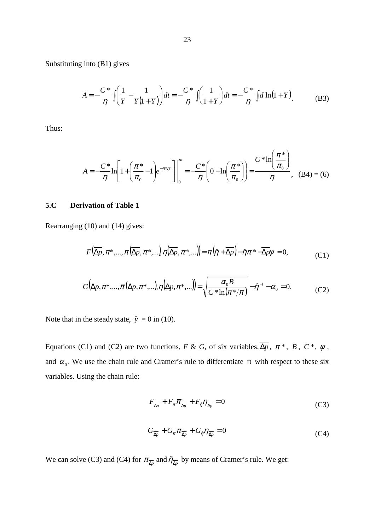<span id="page-26-0"></span>Substituting into (B1) gives

$$
A = -\frac{C^*}{\eta} \int \left( \frac{1}{Y} - \frac{1}{Y(1+Y)} \right) dt = -\frac{C^*}{\eta} \int \left( \frac{1}{1+Y} \right) dt = -\frac{C^*}{\eta} \int d \ln(1+Y).
$$
 (B3)

Thus:

$$
A = -\frac{C^*}{\eta} \ln \left[ 1 + \left( \frac{\pi^*}{\pi_0} - 1 \right) e^{-\pi^* \eta t} \right] \Big|_0^{\infty} = -\frac{C^*}{\eta} \left( 0 - \ln \left( \frac{\pi^*}{\pi_0} \right) \right) = \frac{C^* \ln \left( \frac{\pi^*}{\pi_0} \right)}{\eta}, \quad (B4) = (6)
$$

### **5.C Derivation of Table 1**

Rearranging (10) and (14) gives:

$$
F(\overline{\Delta p}, \pi^*, \dots, \overline{\pi}(\overline{\Delta p}, \pi^*, \dots), \eta(\overline{\Delta p}, \pi^*, \dots)) = \overline{\pi}(\hat{\eta} + \overline{\Delta p}) - \hat{\eta}\pi^* - \overline{\Delta p}\psi = 0,
$$
 (C1)

$$
G(\overline{\Delta p}, \pi^*, ..., \overline{\pi}(\Delta p, \pi^*, ..., \pi(\overline{\Delta p}, \pi^*, ...)) = \sqrt{\frac{\alpha_0 B}{C * \ln(\pi^* / \overline{\pi})}} - \hat{\eta}^{-1} - \alpha_0 = 0.
$$
 (C2)

Note that in the steady state,  $\hat{y} = 0$  in (10).

Equations (C1) and (C2) are two functions, *F* & *G*, of six variables,  $\overline{\Delta p}$ ,  $\pi$ <sup>\*</sup>, *B*,  $C$ <sup>\*</sup>,  $\psi$ , and  $\alpha_0$ . We use the chain rule and Cramer's rule to differentiate  $\bar{\pi}$  with respect to these six variables. Using the chain rule:

$$
F_{\overline{\Delta p}} + F_{\overline{\pi}} \overline{\pi}_{\overline{\Delta p}} + F_{\hat{\eta}} \eta_{\overline{\Delta p}} = 0 \tag{C3}
$$

$$
G_{\overline{\lambda p}} + G_{\overline{\pi}} \overline{\pi}_{\overline{\lambda p}} + G_{\hat{\eta}} \eta_{\overline{\lambda p}} = 0 \tag{C4}
$$

We can solve (C3) and (C4) for  $\bar{\pi}_{\overline{\Delta p}}$  and  $\hat{\eta}_{\overline{\Delta p}}$  by means of Cramer's rule. We get: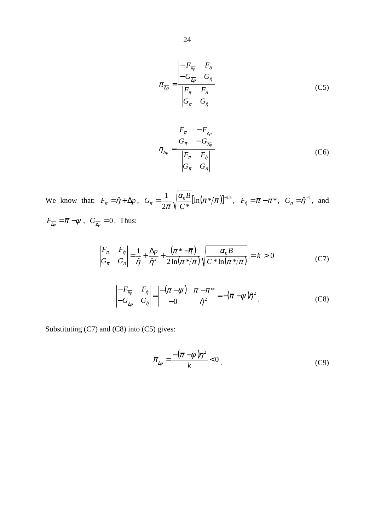$$
\overline{\pi}_{\overline{\Delta p}} = \frac{\begin{vmatrix} -F_{\overline{\Delta p}} & F_{\eta} \\ -G_{\overline{\Delta p}} & G_{\eta} \end{vmatrix}}{\begin{vmatrix} F_{\overline{\pi}} & F_{\eta} \\ G_{\overline{\pi}} & G_{\eta} \end{vmatrix}}
$$
(C5)

$$
\eta_{\overline{\Delta p}} = \frac{\begin{vmatrix} F_{\overline{\pi}} & -F_{\overline{\Delta p}} \\ G_{\overline{\pi}} & -G_{\overline{\Delta p}} \end{vmatrix}}{\begin{vmatrix} F_{\overline{\pi}} & F_{\eta} \\ G_{\overline{\pi}} & G_{\eta} \end{vmatrix}}
$$
(C6)

We know that:  $F_{\overline{x}} = \hat{\eta} + \overline{\Delta p}$ ,  $G_{\overline{x}} = \frac{1}{2} \sqrt{\frac{\mu_0 D}{g}} \left[ \ln(\pi^* / \overline{\pi}) \right]^{-1.5}$  $2\bar{\pi}$  \  $C$  \*  $=\frac{1}{2} \sqrt{\frac{\alpha_0 B}{\sigma^2} [\ln(\pi^* / \overline{\pi})]^2}$  $G_{\bar{\pi}} = \frac{1}{2\bar{\pi}} \sqrt{\frac{\alpha_0 B}{C^*} [\ln(\pi^* / \bar{\pi})]^{-1.5}}, \quad F_{\hat{\eta}} = \bar{\pi} - \pi^*, \quad G_{\eta} = \hat{\eta}^{-2}, \text{ and}$  $F_{\overline{\Delta p}} = \overline{\pi} - \psi$ ,  $G_{\overline{\Delta p}} = 0$ . Thus:

$$
\begin{vmatrix} F_{\overline{\pi}} & F_{\hat{\eta}} \\ G_{\overline{\pi}} & G_{\hat{\eta}} \end{vmatrix} = \frac{1}{\hat{\eta}} + \frac{\overline{\Delta p}}{\hat{\eta}^2} + \frac{(\pi * - \overline{\pi})}{2\ln(\pi * / \overline{\pi})} \sqrt{\frac{\alpha_0 B}{C * \ln(\pi * / \overline{\pi})}} = k > 0
$$
 (C7)

$$
\begin{vmatrix} -F_{\overline{\Delta p}} & F_{\hat{\eta}} \\ -G_{\overline{\Delta p}} & G_{\hat{\eta}} \end{vmatrix} = \begin{vmatrix} -(\overline{\pi} - \psi) & \overline{\pi} - \pi^* \\ -0 & \hat{\eta}^2 \end{vmatrix} = -(\overline{\pi} - \psi)\hat{\eta}^2.
$$
 (C8)

Substituting (C7) and (C8) into (C5) gives:

$$
\overline{\pi}_{\overline{\Delta p}} = \frac{-\left(\overline{\pi} - \psi\right)\eta^2}{k} < 0\tag{C9}
$$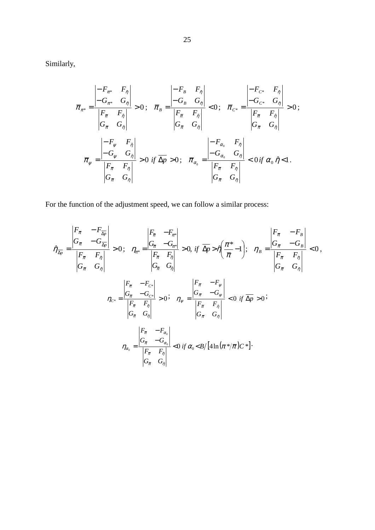Similarly,

$$
\overline{\pi}_{\pi^*} = \frac{\begin{vmatrix} -F_{\pi^*} & F_{\hat{\eta}} \\ -G_{\pi^*} & G_{\hat{\eta}} \end{vmatrix}}{\begin{vmatrix} F_{\overline{\pi}} & F_{\eta} \\ G_{\overline{\pi}} & G_{\hat{\eta}} \end{vmatrix}} > 0; \quad \overline{\pi}_B = \frac{\begin{vmatrix} -F_B & F_{\hat{\eta}} \\ -G_B & G_{\hat{\eta}} \end{vmatrix}}{\begin{vmatrix} F_{\overline{\pi}} & F_{\hat{\eta}} \\ G_{\overline{\pi}} & G_{\hat{\eta}} \end{vmatrix}} < 0; \quad \overline{\pi}_{C^*} = \frac{\begin{vmatrix} -F_{C^*} & F_{\hat{\eta}} \\ -G_{C^*} & G_{\hat{\eta}} \end{vmatrix}}{\begin{vmatrix} F_{\overline{\pi}} & F_{\hat{\eta}} \\ G_{\overline{\pi}} & G_{\hat{\eta}} \end{vmatrix}} > 0;
$$
\n
$$
\overline{\pi}_{\psi} = \frac{\begin{vmatrix} -F_{\psi} & F_{\hat{\eta}} \\ -G_{\psi} & G_{\hat{\eta}} \end{vmatrix}}{\begin{vmatrix} F_{\overline{\pi}} & F_{\hat{\eta}} \\ G_{\overline{\pi}} & G_{\hat{\eta}} \end{vmatrix}} > 0 \text{ if } \overline{\Delta p} > 0; \quad \overline{\pi}_{\alpha_0} = \frac{\begin{vmatrix} -F_{\alpha_0} & F_{\hat{\eta}} \\ -G_{\alpha_0} & G_{\hat{\eta}} \end{vmatrix}}{\begin{vmatrix} F_{\overline{\pi}} & F_{\hat{\eta}} \\ G_{\overline{\pi}} & G_{\hat{\eta}} \end{vmatrix}} < 0 \text{ if } \alpha_0 \hat{\eta} < 1.
$$

For the function of the adjustment speed, we can follow a similar process:

$$
\hat{\eta}_{\overline{\Delta p}} = \frac{\begin{vmatrix} F_{\overline{\pi}} & -F_{\overline{\Delta p}} \\ G_{\overline{\pi}} & -G_{\overline{\Delta p}} \end{vmatrix}}{\begin{vmatrix} F_{\overline{\pi}} & F_{\eta} \\ G_{\overline{\pi}} & G_{\eta} \end{vmatrix}} > 0; \quad \eta_{\pi^*} = \frac{\begin{vmatrix} F_{\overline{\pi}} & -F_{\pi^*} \\ G_{\overline{\pi}} & -G_{\pi^*} \end{vmatrix}}{\begin{vmatrix} F_{\overline{\pi}} & F_{\eta} \\ G_{\overline{\pi}} & G_{\eta} \end{vmatrix}} > 0, \text{ if } \overline{\Delta p} > \hat{\eta} \left( \frac{\pi^*}{\overline{\pi}} - 1 \right); \quad \eta_B = \frac{\begin{vmatrix} F_{\overline{\pi}} & -F_B \\ G_{\overline{\pi}} & F_{\eta} \end{vmatrix}}{\begin{vmatrix} F_{\overline{\pi}} & F_{\eta} \\ G_{\overline{\pi}} & G_{\eta} \end{vmatrix}} < 0,
$$
\n
$$
\eta_{C^*} = \frac{\begin{vmatrix} F_{\overline{\pi}} & -F_{C^*} \\ G_{\overline{\pi}} & -G_{C^*} \end{vmatrix}}{\begin{vmatrix} F_{\overline{\pi}} & F_{\eta} \\ G_{\overline{\pi}} & G_{\eta} \end{vmatrix}} > 0; \quad \eta_{\psi} = \frac{\begin{vmatrix} F_{\overline{\pi}} & -F_{\psi} \\ G_{\overline{\pi}} & -G_{\psi} \end{vmatrix}}{\begin{vmatrix} F_{\overline{\pi}} & F_{\eta} \\ G_{\overline{\pi}} & G_{\eta} \end{vmatrix}} < 0 \text{ if } \overline{\Delta p} > 0;
$$
\n
$$
\eta_{\alpha_0} = \frac{\begin{vmatrix} F_{\overline{\pi}} & -F_{\alpha_0} \\ G_{\overline{\pi}} & -G_{\alpha_0} \end{vmatrix}}{\begin{vmatrix} F_{\overline{\pi}} & F_{\eta} \\ G_{\overline{\pi}} & G_{\eta} \end{vmatrix}} < 0 \text{ if } \alpha_0 < B / \left[ 4 \ln \left( \pi * / \overline{\pi} \right) C * \right].
$$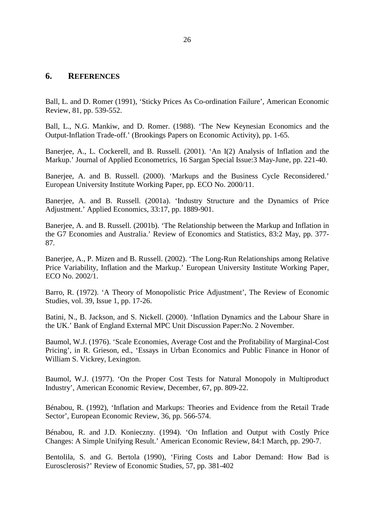#### 26

#### <span id="page-29-0"></span>**6. REFERENCES**

Ball, L. and D. Romer (1991), 'Sticky Prices As Co-ordination Failure', American Economic Review, 81, pp. 539-552.

Ball, L., N.G. Mankiw, and D. Romer. (1988). 'The New Keynesian Economics and the Output-Inflation Trade-off.' (Brookings Papers on Economic Activity), pp. 1-65.

Banerjee, A., L. Cockerell, and B. Russell. (2001). 'An I(2) Analysis of Inflation and the Markup.' Journal of Applied Econometrics, 16 Sargan Special Issue:3 May-June, pp. 221-40.

Banerjee, A. and B. Russell. (2000). 'Markups and the Business Cycle Reconsidered.' European University Institute Working Paper, pp. ECO No. 2000/11.

Banerjee, A. and B. Russell. (2001a). 'Industry Structure and the Dynamics of Price Adjustment.' Applied Economics, 33:17, pp. 1889-901.

Banerjee, A. and B. Russell. (2001b). 'The Relationship between the Markup and Inflation in the G7 Economies and Australia.' Review of Economics and Statistics, 83:2 May, pp. 377- 87.

Banerjee, A., P. Mizen and B. Russell. (2002). 'The Long-Run Relationships among Relative Price Variability, Inflation and the Markup.' European University Institute Working Paper, ECO No. 2002/1.

Barro, R. (1972). 'A Theory of Monopolistic Price Adjustment', The Review of Economic Studies, vol. 39, Issue 1, pp. 17-26.

Batini, N., B. Jackson, and S. Nickell. (2000). 'Inflation Dynamics and the Labour Share in the UK.' Bank of England External MPC Unit Discussion Paper:No. 2 November.

Baumol, W.J. (1976). 'Scale Economies, Average Cost and the Profitability of Marginal-Cost Pricing', in R. Grieson, ed., 'Essays in Urban Economics and Public Finance in Honor of William S. Vickrey, Lexington.

Baumol, W.J. (1977). 'On the Proper Cost Tests for Natural Monopoly in Multiproduct Industry', American Economic Review, December, 67, pp. 809-22.

Bénabou, R. (1992), 'Inflation and Markups: Theories and Evidence from the Retail Trade Sector', European Economic Review, 36, pp. 566-574.

Bénabou, R. and J.D. Konieczny. (1994). 'On Inflation and Output with Costly Price Changes: A Simple Unifying Result.' American Economic Review, 84:1 March, pp. 290-7.

Bentolila, S. and G. Bertola (1990), 'Firing Costs and Labor Demand: How Bad is Eurosclerosis?' Review of Economic Studies, 57, pp. 381-402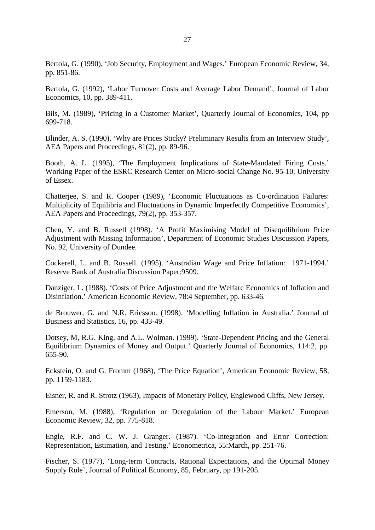Bertola, G. (1990), 'Job Security, Employment and Wages.' European Economic Review, 34, pp. 851-86.

Bertola, G. (1992), 'Labor Turnover Costs and Average Labor Demand', Journal of Labor Economics, 10, pp. 389-411.

Bils, M. (1989), 'Pricing in a Customer Market', Quarterly Journal of Economics, 104, pp 699-718.

Blinder, A. S. (1990), 'Why are Prices Sticky? Preliminary Results from an Interview Study', AEA Papers and Proceedings, 81(2), pp. 89-96.

Booth, A. L. (1995), 'The Employment Implications of State-Mandated Firing Costs.' Working Paper of the ESRC Research Center on Micro-social Change No. 95-10, University of Essex.

Chatterjee, S. and R. Cooper (1989), 'Economic Fluctuations as Co-ordination Failures: Multiplicity of Equilibria and Fluctuations in Dynamic Imperfectly Competitive Economics', AEA Papers and Proceedings, 79(2), pp. 353-357.

Chen, Y. and B. Russell (1998). 'A Profit Maximising Model of Disequilibrium Price Adjustment with Missing Information', Department of Economic Studies Discussion Papers, No. 92, University of Dundee.

Cockerell, L. and B. Russell. (1995). 'Australian Wage and Price Inflation: 1971-1994.' Reserve Bank of Australia Discussion Paper:9509.

Danziger, L. (1988). 'Costs of Price Adjustment and the Welfare Economics of Inflation and Disinflation.' American Economic Review, 78:4 September, pp. 633-46.

de Brouwer, G. and N.R. Ericsson. (1998). 'Modelling Inflation in Australia.' Journal of Business and Statistics, 16, pp. 433-49.

Dotsey, M, R.G. King, and A.L. Wolman. (1999). 'State-Dependent Pricing and the General Equilibrium Dynamics of Money and Output.' Quarterly Journal of Economics, 114:2, pp. 655-90.

Eckstein, O. and G. Fromm (1968), 'The Price Equation', American Economic Review, 58, pp. 1159-1183.

Eisner, R. and R. Strotz (1963), Impacts of Monetary Policy, Englewood Cliffs, New Jersey.

Emerson, M. (1988), 'Regulation or Deregulation of the Labour Market.' European Economic Review, 32, pp. 775-818.

Engle, R.F. and C. W. J. Granger. (1987). 'Co-Integration and Error Correction: Representation, Estimation, and Testing.' Econometrica, 55:March, pp. 251-76.

Fischer, S. (1977), 'Long-term Contracts, Rational Expectations, and the Optimal Money Supply Rule', Journal of Political Economy, 85, February, pp 191-205.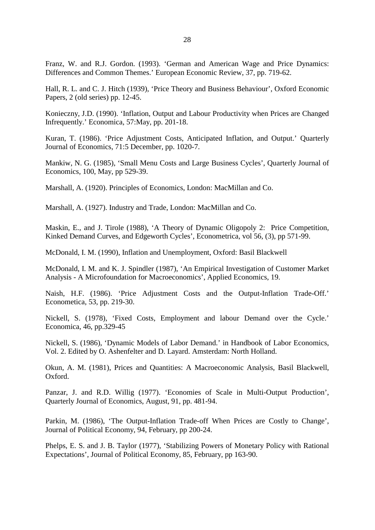Franz, W. and R.J. Gordon. (1993). 'German and American Wage and Price Dynamics: Differences and Common Themes.' European Economic Review, 37, pp. 719-62.

Hall, R. L. and C. J. Hitch (1939), 'Price Theory and Business Behaviour', Oxford Economic Papers, 2 (old series) pp. 12-45.

Konieczny, J.D. (1990). 'Inflation, Output and Labour Productivity when Prices are Changed Infrequently.' Economica, 57:May, pp. 201-18.

Kuran, T. (1986). 'Price Adjustment Costs, Anticipated Inflation, and Output.' Quarterly Journal of Economics, 71:5 December, pp. 1020-7.

Mankiw, N. G. (1985), 'Small Menu Costs and Large Business Cycles', Quarterly Journal of Economics, 100, May, pp 529-39.

Marshall, A. (1920). Principles of Economics, London: MacMillan and Co.

Marshall, A. (1927). Industry and Trade, London: MacMillan and Co.

Maskin, E., and J. Tirole (1988), 'A Theory of Dynamic Oligopoly 2: Price Competition, Kinked Demand Curves, and Edgeworth Cycles', Econometrica, vol 56, (3), pp 571-99.

McDonald, I. M. (1990), Inflation and Unemployment, Oxford: Basil Blackwell

McDonald, I. M. and K. J. Spindler (1987), 'An Empirical Investigation of Customer Market Analysis - A Microfoundation for Macroeconomics', Applied Economics, 19.

Naish, H.F. (1986). 'Price Adjustment Costs and the Output-Inflation Trade-Off.' Econometica, 53, pp. 219-30.

Nickell, S. (1978), 'Fixed Costs, Employment and labour Demand over the Cycle.' Economica, 46, pp.329-45

Nickell, S. (1986), 'Dynamic Models of Labor Demand.' in Handbook of Labor Economics, Vol. 2. Edited by O. Ashenfelter and D. Layard. Amsterdam: North Holland.

Okun, A. M. (1981), Prices and Quantities: A Macroeconomic Analysis, Basil Blackwell, Oxford.

Panzar, J. and R.D. Willig (1977). 'Economies of Scale in Multi-Output Production', Quarterly Journal of Economics, August, 91, pp. 481-94.

Parkin, M. (1986), 'The Output-Inflation Trade-off When Prices are Costly to Change', Journal of Political Economy, 94, February, pp 200-24.

Phelps, E. S. and J. B. Taylor (1977), 'Stabilizing Powers of Monetary Policy with Rational Expectations', Journal of Political Economy, 85, February, pp 163-90.